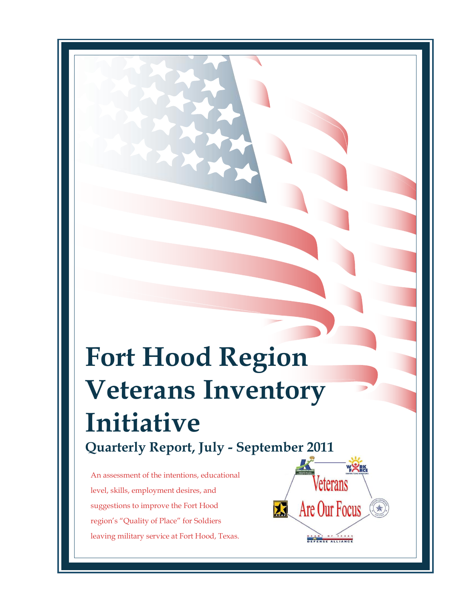# **Fort Hood Region Veterans Inventory Initiative Quarterly Report, July - September 2011**

An assessment of the intentions, educational level, skills, employment desires, and suggestions to improve the Fort Hood region's "Quality of Place" for Soldiers leaving military service at Fort Hood, Texas.

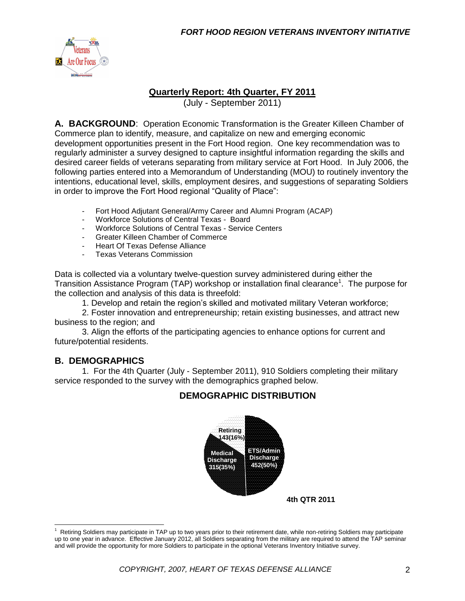

#### **Quarterly Report: 4th Quarter, FY 2011**

(July - September 2011)

**A. BACKGROUND**: Operation Economic Transformation is the Greater Killeen Chamber of Commerce plan to identify, measure, and capitalize on new and emerging economic development opportunities present in the Fort Hood region. One key recommendation was to regularly administer a survey designed to capture insightful information regarding the skills and desired career fields of veterans separating from military service at Fort Hood. In July 2006, the following parties entered into a Memorandum of Understanding (MOU) to routinely inventory the intentions, educational level, skills, employment desires, and suggestions of separating Soldiers in order to improve the Fort Hood regional "Quality of Place":

- Fort Hood Adjutant General/Army Career and Alumni Program (ACAP)
- Workforce Solutions of Central Texas Board
- Workforce Solutions of Central Texas Service Centers
- Greater Killeen Chamber of Commerce
- Heart Of Texas Defense Alliance
- Texas Veterans Commission

Data is collected via a voluntary twelve-question survey administered during either the Transition Assistance Program (TAP) workshop or installation final clearance<sup>1</sup>. The purpose for the collection and analysis of this data is threefold:

1. Develop and retain the region's skilled and motivated military Veteran workforce;

2. Foster innovation and entrepreneurship; retain existing businesses, and attract new business to the region; and

3. Align the efforts of the participating agencies to enhance options for current and future/potential residents.

#### **B. DEMOGRAPHICS**

 $\overline{a}$ 

1. For the 4th Quarter (July - September 2011), 910 Soldiers completing their military service responded to the survey with the demographics graphed below.

#### **DEMOGRAPHIC DISTRIBUTION**



<sup>1</sup> Retiring Soldiers may participate in TAP up to two years prior to their retirement date, while non-retiring Soldiers may participate up to one year in advance. Effective January 2012, all Soldiers separating from the military are required to attend the TAP seminar and will provide the opportunity for more Soldiers to participate in the optional Veterans Inventory Initiative survey.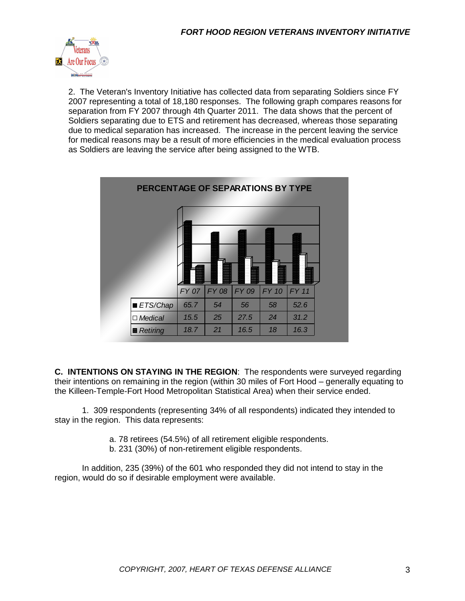

2. The Veteran's Inventory Initiative has collected data from separating Soldiers since FY 2007 representing a total of 18,180 responses. The following graph compares reasons for separation from FY 2007 through 4th Quarter 2011. The data shows that the percent of Soldiers separating due to ETS and retirement has decreased, whereas those separating due to medical separation has increased. The increase in the percent leaving the service for medical reasons may be a result of more efficiencies in the medical evaluation process as Soldiers are leaving the service after being assigned to the WTB.



**C. INTENTIONS ON STAYING IN THE REGION**: The respondents were surveyed regarding their intentions on remaining in the region (within 30 miles of Fort Hood – generally equating to the Killeen-Temple-Fort Hood Metropolitan Statistical Area) when their service ended.

1. 309 respondents (representing 34% of all respondents) indicated they intended to stay in the region. This data represents:

a. 78 retirees (54.5%) of all retirement eligible respondents.

b. 231 (30%) of non-retirement eligible respondents.

In addition, 235 (39%) of the 601 who responded they did not intend to stay in the region, would do so if desirable employment were available.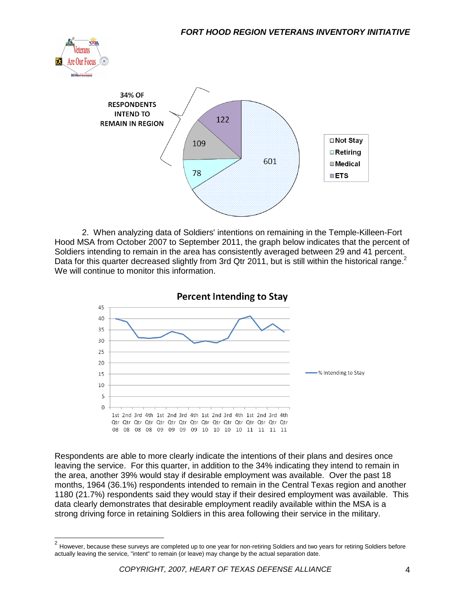



2. When analyzing data of Soldiers' intentions on remaining in the Temple-Killeen-Fort Hood MSA from October 2007 to September 2011, the graph below indicates that the percent of Soldiers intending to remain in the area has consistently averaged between 29 and 41 percent. Data for this quarter decreased slightly from 3rd Qtr 2011, but is still within the historical range.<sup>2</sup> We will continue to monitor this information.



Respondents are able to more clearly indicate the intentions of their plans and desires once leaving the service. For this quarter, in addition to the 34% indicating they intend to remain in the area, another 39% would stay if desirable employment was available. Over the past 18 months, 1964 (36.1%) respondents intended to remain in the Central Texas region and another 1180 (21.7%) respondents said they would stay if their desired employment was available. This data clearly demonstrates that desirable employment readily available within the MSA is a strong driving force in retaining Soldiers in this area following their service in the military.

 2 However, because these surveys are completed up to one year for non-retiring Soldiers and two years for retiring Soldiers before actually leaving the service, "intent" to remain (or leave) may change by the actual separation date.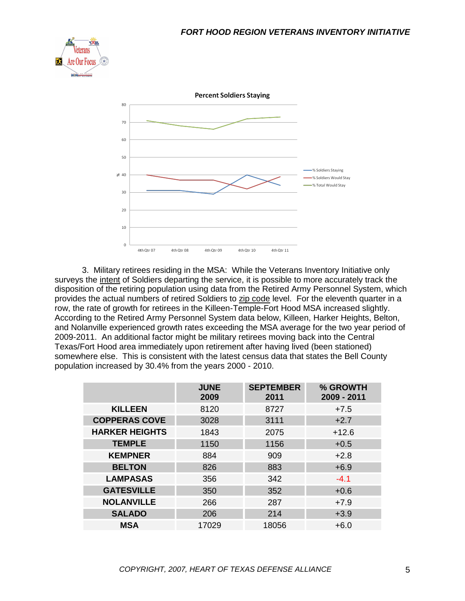



3. Military retirees residing in the MSA: While the Veterans Inventory Initiative only surveys the intent of Soldiers departing the service, it is possible to more accurately track the disposition of the retiring population using data from the Retired Army Personnel System, which provides the actual numbers of retired Soldiers to zip code level. For the eleventh quarter in a row, the rate of growth for retirees in the Killeen-Temple-Fort Hood MSA increased slightly. According to the Retired Army Personnel System data below, Killeen, Harker Heights, Belton, and Nolanville experienced growth rates exceeding the MSA average for the two year period of 2009-2011. An additional factor might be military retirees moving back into the Central Texas/Fort Hood area immediately upon retirement after having lived (been stationed) somewhere else. This is consistent with the latest census data that states the Bell County population increased by 30.4% from the years 2000 - 2010.

|                       | <b>JUNE</b><br>2009 | <b>SEPTEMBER</b><br>2011 | % GROWTH<br>2009 - 2011 |
|-----------------------|---------------------|--------------------------|-------------------------|
| <b>KILLEEN</b>        | 8120                | 8727                     | $+7.5$                  |
| <b>COPPERAS COVE</b>  | 3028                | 3111                     | $+2.7$                  |
| <b>HARKER HEIGHTS</b> | 1843                | 2075                     | $+12.6$                 |
| <b>TEMPLE</b>         | 1150                | 1156                     | $+0.5$                  |
| <b>KEMPNER</b>        | 884                 | 909                      | $+2.8$                  |
| <b>BELTON</b>         | 826                 | 883                      | $+6.9$                  |
| <b>LAMPASAS</b>       | 356                 | 342                      | $-4.1$                  |
| <b>GATESVILLE</b>     | 350                 | 352                      | $+0.6$                  |
| <b>NOLANVILLE</b>     | 266                 | 287                      | $+7.9$                  |
| <b>SALADO</b>         | 206                 | 214                      | $+3.9$                  |
| <b>MSA</b>            | 17029               | 18056                    | $+6.0$                  |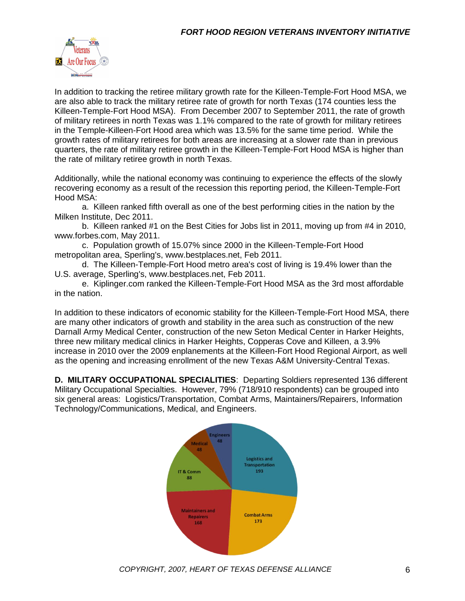

In addition to tracking the retiree military growth rate for the Killeen-Temple-Fort Hood MSA, we are also able to track the military retiree rate of growth for north Texas (174 counties less the Killeen-Temple-Fort Hood MSA). From December 2007 to September 2011, the rate of growth of military retirees in north Texas was 1.1% compared to the rate of growth for military retirees in the Temple-Killeen-Fort Hood area which was 13.5% for the same time period. While the growth rates of military retirees for both areas are increasing at a slower rate than in previous quarters, the rate of military retiree growth in the Killeen-Temple-Fort Hood MSA is higher than the rate of military retiree growth in north Texas.

Additionally, while the national economy was continuing to experience the effects of the slowly recovering economy as a result of the recession this reporting period, the Killeen-Temple-Fort Hood MSA:

a. Killeen ranked fifth overall as one of the best performing cities in the nation by the Milken Institute, Dec 2011.

b. Killeen ranked #1 on the Best Cities for Jobs list in 2011, moving up from #4 in 2010, www.forbes.com, May 2011.

c. Population growth of 15.07% since 2000 in the Killeen-Temple-Fort Hood metropolitan area, Sperling's, www.bestplaces.net, Feb 2011.

d. The Killeen-Temple-Fort Hood metro area's cost of living is 19.4% lower than the U.S. average, Sperling's, www.bestplaces.net, Feb 2011.

e. Kiplinger.com ranked the Killeen-Temple-Fort Hood MSA as the 3rd most affordable in the nation.

In addition to these indicators of economic stability for the Killeen-Temple-Fort Hood MSA, there are many other indicators of growth and stability in the area such as construction of the new Darnall Army Medical Center, construction of the new Seton Medical Center in Harker Heights, three new military medical clinics in Harker Heights, Copperas Cove and Killeen, a 3.9% increase in 2010 over the 2009 enplanements at the Killeen-Fort Hood Regional Airport, as well as the opening and increasing enrollment of the new Texas A&M University-Central Texas.

**D. MILITARY OCCUPATIONAL SPECIALITIES**: Departing Soldiers represented 136 different Military Occupational Specialties. However, 79% (718/910 respondents) can be grouped into six general areas: Logistics/Transportation, Combat Arms, Maintainers/Repairers, Information Technology/Communications, Medical, and Engineers.

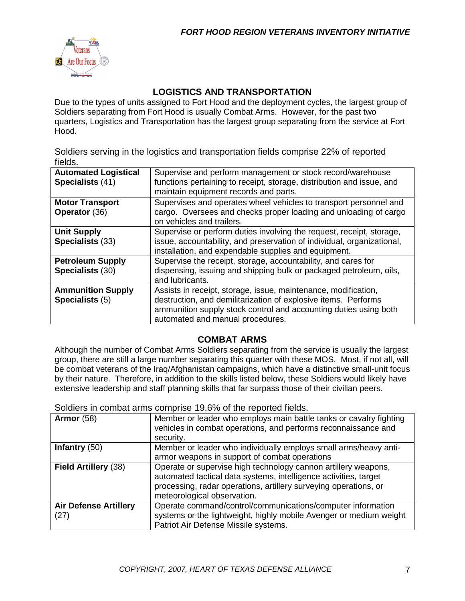

#### **LOGISTICS AND TRANSPORTATION**

Due to the types of units assigned to Fort Hood and the deployment cycles, the largest group of Soldiers separating from Fort Hood is usually Combat Arms. However, for the past two quarters, Logistics and Transportation has the largest group separating from the service at Fort Hood.

Soldiers serving in the logistics and transportation fields comprise 22% of reported fields.

| <b>Automated Logistical</b><br>Specialists (41) | Supervise and perform management or stock record/warehouse<br>functions pertaining to receipt, storage, distribution and issue, and<br>maintain equipment records and parts.                                                             |
|-------------------------------------------------|------------------------------------------------------------------------------------------------------------------------------------------------------------------------------------------------------------------------------------------|
| <b>Motor Transport</b><br><b>Operator (36)</b>  | Supervises and operates wheel vehicles to transport personnel and<br>cargo. Oversees and checks proper loading and unloading of cargo<br>on vehicles and trailers.                                                                       |
| <b>Unit Supply</b><br>Specialists (33)          | Supervise or perform duties involving the request, receipt, storage,<br>issue, accountability, and preservation of individual, organizational,<br>installation, and expendable supplies and equipment.                                   |
| <b>Petroleum Supply</b><br>Specialists (30)     | Supervise the receipt, storage, accountability, and cares for<br>dispensing, issuing and shipping bulk or packaged petroleum, oils,<br>and lubricants.                                                                                   |
| <b>Ammunition Supply</b><br>Specialists (5)     | Assists in receipt, storage, issue, maintenance, modification,<br>destruction, and demilitarization of explosive items. Performs<br>ammunition supply stock control and accounting duties using both<br>automated and manual procedures. |

### **COMBAT ARMS**

Although the number of Combat Arms Soldiers separating from the service is usually the largest group, there are still a large number separating this quarter with these MOS. Most, if not all, will be combat veterans of the Iraq/Afghanistan campaigns, which have a distinctive small-unit focus by their nature. Therefore, in addition to the skills listed below, these Soldiers would likely have extensive leadership and staff planning skills that far surpass those of their civilian peers.

Soldiers in combat arms comprise 19.6% of the reported fields.

| Armor $(58)$                         | Member or leader who employs main battle tanks or cavalry fighting<br>vehicles in combat operations, and performs reconnaissance and<br>security.                                                                                     |
|--------------------------------------|---------------------------------------------------------------------------------------------------------------------------------------------------------------------------------------------------------------------------------------|
| Infantry $(50)$                      | Member or leader who individually employs small arms/heavy anti-<br>armor weapons in support of combat operations                                                                                                                     |
| Field Artillery (38)                 | Operate or supervise high technology cannon artillery weapons,<br>automated tactical data systems, intelligence activities, target<br>processing, radar operations, artillery surveying operations, or<br>meteorological observation. |
| <b>Air Defense Artillery</b><br>(27) | Operate command/control/communications/computer information<br>systems or the lightweight, highly mobile Avenger or medium weight<br>Patriot Air Defense Missile systems.                                                             |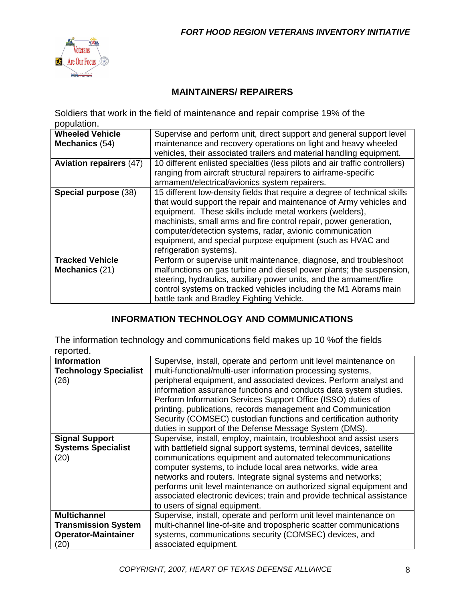

#### **MAINTAINERS/ REPAIRERS**

Soldiers that work in the field of maintenance and repair comprise 19% of the population.

| <b>Wheeled Vehicle</b>                   | Supervise and perform unit, direct support and general support level                                                                                                                                                                                                                                                                                                                                                                  |
|------------------------------------------|---------------------------------------------------------------------------------------------------------------------------------------------------------------------------------------------------------------------------------------------------------------------------------------------------------------------------------------------------------------------------------------------------------------------------------------|
| Mechanics (54)                           | maintenance and recovery operations on light and heavy wheeled                                                                                                                                                                                                                                                                                                                                                                        |
|                                          | vehicles, their associated trailers and material handling equipment.                                                                                                                                                                                                                                                                                                                                                                  |
| <b>Aviation repairers (47)</b>           | 10 different enlisted specialties (less pilots and air traffic controllers)                                                                                                                                                                                                                                                                                                                                                           |
|                                          | ranging from aircraft structural repairers to airframe-specific                                                                                                                                                                                                                                                                                                                                                                       |
|                                          | armament/electrical/avionics system repairers.                                                                                                                                                                                                                                                                                                                                                                                        |
| Special purpose (38)                     | 15 different low-density fields that require a degree of technical skills<br>that would support the repair and maintenance of Army vehicles and<br>equipment. These skills include metal workers (welders),<br>machinists, small arms and fire control repair, power generation,<br>computer/detection systems, radar, avionic communication<br>equipment, and special purpose equipment (such as HVAC and<br>refrigeration systems). |
| <b>Tracked Vehicle</b><br>Mechanics (21) | Perform or supervise unit maintenance, diagnose, and troubleshoot<br>malfunctions on gas turbine and diesel power plants; the suspension,                                                                                                                                                                                                                                                                                             |
|                                          | steering, hydraulics, auxiliary power units, and the armament/fire<br>control systems on tracked vehicles including the M1 Abrams main<br>battle tank and Bradley Fighting Vehicle.                                                                                                                                                                                                                                                   |

#### **INFORMATION TECHNOLOGY AND COMMUNICATIONS**

The information technology and communications field makes up 10 %of the fields reported.

| ,,,,,,,,,                    |                                                                       |
|------------------------------|-----------------------------------------------------------------------|
| <b>Information</b>           | Supervise, install, operate and perform unit level maintenance on     |
| <b>Technology Specialist</b> | multi-functional/multi-user information processing systems,           |
| (26)                         | peripheral equipment, and associated devices. Perform analyst and     |
|                              | information assurance functions and conducts data system studies.     |
|                              | Perform Information Services Support Office (ISSO) duties of          |
|                              | printing, publications, records management and Communication          |
|                              | Security (COMSEC) custodian functions and certification authority     |
|                              | duties in support of the Defense Message System (DMS).                |
| <b>Signal Support</b>        | Supervise, install, employ, maintain, troubleshoot and assist users   |
| <b>Systems Specialist</b>    | with battlefield signal support systems, terminal devices, satellite  |
| (20)                         | communications equipment and automated telecommunications             |
|                              | computer systems, to include local area networks, wide area           |
|                              | networks and routers. Integrate signal systems and networks;          |
|                              | performs unit level maintenance on authorized signal equipment and    |
|                              | associated electronic devices; train and provide technical assistance |
|                              | to users of signal equipment.                                         |
| <b>Multichannel</b>          | Supervise, install, operate and perform unit level maintenance on     |
| <b>Transmission System</b>   | multi-channel line-of-site and tropospheric scatter communications    |
| <b>Operator-Maintainer</b>   | systems, communications security (COMSEC) devices, and                |
| (20)                         | associated equipment.                                                 |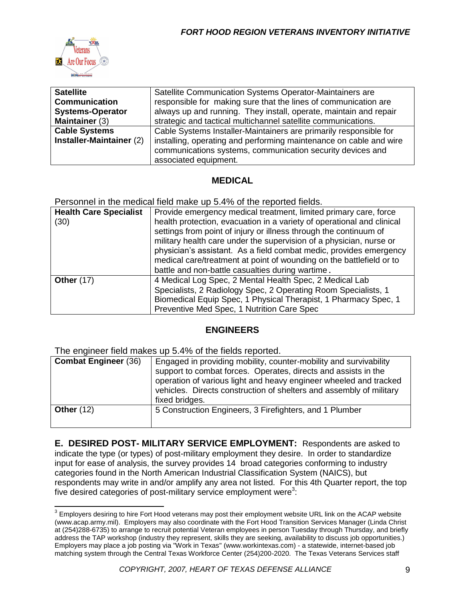

 $\overline{a}$ 

| <b>Satellite</b>         | Satellite Communication Systems Operator-Maintainers are           |  |  |
|--------------------------|--------------------------------------------------------------------|--|--|
| <b>Communication</b>     | responsible for making sure that the lines of communication are    |  |  |
| <b>Systems-Operator</b>  | always up and running. They install, operate, maintain and repair  |  |  |
| Maintainer (3)           | strategic and tactical multichannel satellite communications.      |  |  |
| <b>Cable Systems</b>     | Cable Systems Installer-Maintainers are primarily responsible for  |  |  |
| Installer-Maintainer (2) | installing, operating and performing maintenance on cable and wire |  |  |
|                          | communications systems, communication security devices and         |  |  |
|                          | associated equipment.                                              |  |  |

#### **MEDICAL**

Personnel in the medical field make up 5.4% of the reported fields.

| <b>Health Care Specialist</b> | Provide emergency medical treatment, limited primary care, force       |  |  |
|-------------------------------|------------------------------------------------------------------------|--|--|
| (30)                          | health protection, evacuation in a variety of operational and clinical |  |  |
|                               | settings from point of injury or illness through the continuum of      |  |  |
|                               | military health care under the supervision of a physician, nurse or    |  |  |
|                               | physician's assistant. As a field combat medic, provides emergency     |  |  |
|                               | medical care/treatment at point of wounding on the battlefield or to   |  |  |
|                               | battle and non-battle casualties during wartime.                       |  |  |
| <b>Other (17)</b>             | 4 Medical Log Spec, 2 Mental Health Spec, 2 Medical Lab                |  |  |
|                               | Specialists, 2 Radiology Spec, 2 Operating Room Specialists, 1         |  |  |
|                               | Biomedical Equip Spec, 1 Physical Therapist, 1 Pharmacy Spec, 1        |  |  |
|                               | Preventive Med Spec, 1 Nutrition Care Spec                             |  |  |

#### **ENGINEERS**

The engineer field makes up 5.4% of the fields reported.

| <b>Combat Engineer (36)</b> | Engaged in providing mobility, counter-mobility and survivability<br>support to combat forces. Operates, directs and assists in the<br>operation of various light and heavy engineer wheeled and tracked<br>vehicles. Directs construction of shelters and assembly of military<br>fixed bridges. |  |
|-----------------------------|---------------------------------------------------------------------------------------------------------------------------------------------------------------------------------------------------------------------------------------------------------------------------------------------------|--|
| Other $(12)$                | 5 Construction Engineers, 3 Firefighters, and 1 Plumber                                                                                                                                                                                                                                           |  |

**E. DESIRED POST- MILITARY SERVICE EMPLOYMENT:** Respondents are asked to indicate the type (or types) of post-military employment they desire. In order to standardize input for ease of analysis, the survey provides 14 broad categories conforming to industry categories found in the North American Industrial Classification System (NAICS), but respondents may write in and/or amplify any area not listed. For this 4th Quarter report, the top five desired categories of post-military service employment were<sup>3</sup>:

 $^3$  Employers desiring to hire Fort Hood veterans may post their employment website URL link on the ACAP website (www.acap.army.mil). Employers may also coordinate with the Fort Hood Transition Services Manager (Linda Christ at (254)288-6735) to arrange to recruit potential Veteran employees in person Tuesday through Thursday, and briefly address the TAP workshop (industry they represent, skills they are seeking, availability to discuss job opportunities.) Employers may place a job posting via "Work in Texas" (www.workintexas.com) - a statewide, internet-based job matching system through the Central Texas Workforce Center (254)200-2020. The Texas Veterans Services staff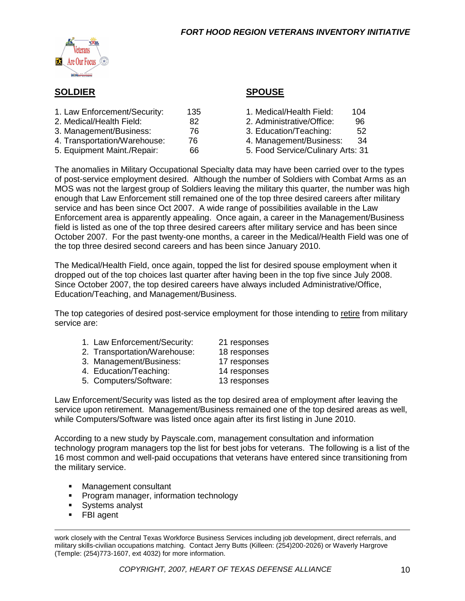

#### **SOLDIER SPOUSE**

| 1. Law Enforcement/Security: | 135 | 1. Medical/Health Field:          | 104 |
|------------------------------|-----|-----------------------------------|-----|
| 2. Medical/Health Field:     | 82  | 2. Administrative/Office:         | 96  |
| 3. Management/Business:      | 76  | 3. Education/Teaching:            | 52  |
| 4. Transportation/Warehouse: | 76  | 4. Management/Business:           | 34  |
| 5. Equipment Maint./Repair:  | 66  | 5. Food Service/Culinary Arts: 31 |     |

|  | 1. Medical/Health Field: | 10ء |
|--|--------------------------|-----|
|  |                          |     |

- 2. Administrative/Office: 96
- 3. Education/Teaching: 52
- 4. Management/Business: 34
- 5. Food Service/Culinary Arts: 31

The anomalies in Military Occupational Specialty data may have been carried over to the types of post-service employment desired. Although the number of Soldiers with Combat Arms as an MOS was not the largest group of Soldiers leaving the military this quarter, the number was high enough that Law Enforcement still remained one of the top three desired careers after military service and has been since Oct 2007. A wide range of possibilities available in the Law Enforcement area is apparently appealing. Once again, a career in the Management/Business field is listed as one of the top three desired careers after military service and has been since October 2007. For the past twenty-one months, a career in the Medical/Health Field was one of the top three desired second careers and has been since January 2010.

The Medical/Health Field, once again, topped the list for desired spouse employment when it dropped out of the top choices last quarter after having been in the top five since July 2008. Since October 2007, the top desired careers have always included Administrative/Office, Education/Teaching, and Management/Business.

The top categories of desired post-service employment for those intending to retire from military service are:

| 1. Law Enforcement/Security: | 21 responses |
|------------------------------|--------------|
| 2. Transportation/Warehouse: | 18 responses |

- 3. Management/Business: 17 responses
- 
- 4. Education/Teaching: 14 responses
- 5. Computers/Software: 13 responses
- 

Law Enforcement/Security was listed as the top desired area of employment after leaving the service upon retirement. Management/Business remained one of the top desired areas as well, while Computers/Software was listed once again after its first listing in June 2010.

According to a new study by Payscale.com, management consultation and information technology program managers top the list for best jobs for veterans. The following is a list of the 16 most common and well-paid occupations that veterans have entered since transitioning from the military service.

- **Nanagement consultant**
- **Program manager, information technology**
- **Systems analyst**
- **FBI** agent

work closely with the Central Texas Workforce Business Services including job development, direct referrals, and military skills-civilian occupations matching. Contact Jerry Butts (Killeen: (254)200-2026) or Waverly Hargrove (Temple: (254)773-1607, ext 4032) for more information.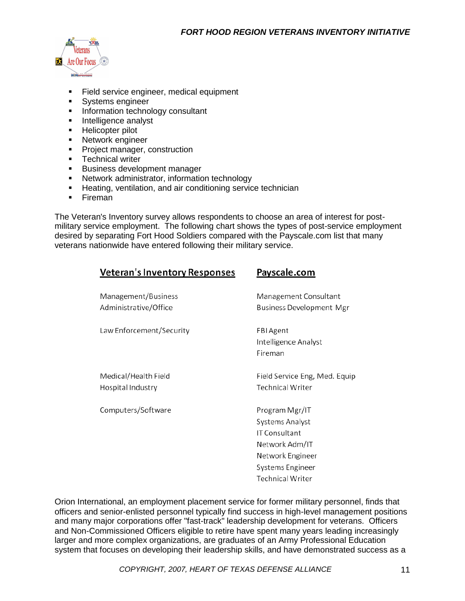

- Field service engineer, medical equipment
- Systems engineer
- **Information technology consultant**
- **Intelligence analyst**
- **Helicopter pilot**
- **Network engineer**
- **Project manager, construction**
- **Technical writer**
- **Business development manager**
- **Network administrator, information technology**
- **Heating, ventilation, and air conditioning service technician**
- **Fireman**

The Veteran's Inventory survey allows respondents to choose an area of interest for postmilitary service employment. The following chart shows the types of post-service employment desired by separating Fort Hood Soldiers compared with the Payscale.com list that many veterans nationwide have entered following their military service.

| Veteran's Inventory Responses                | Payscale.com                                                                                                                     |
|----------------------------------------------|----------------------------------------------------------------------------------------------------------------------------------|
| Management/Business<br>Administrative/Office | Management Consultant<br><b>Business Development Mgr</b>                                                                         |
| Law Enforcement/Security                     | FBI Agent<br>Intelligence Analyst<br>Fireman                                                                                     |
| Medical/Health Field<br>Hospital Industry    | Field Service Eng, Med. Equip<br><b>Technical Writer</b>                                                                         |
| Computers/Software                           | Program Mgr/IT<br>Systems Analyst<br>IT Consultant<br>Network Adm/IT<br>Network Engineer<br>Systems Engineer<br>Technical Writer |

Orion International, an employment placement service for former military personnel, finds that officers and senior-enlisted personnel typically find success in high-level management positions and many major corporations offer "fast-track" leadership development for veterans. Officers and Non-Commissioned Officers eligible to retire have spent many years leading increasingly larger and more complex organizations, are graduates of an Army Professional Education system that focuses on developing their leadership skills, and have demonstrated success as a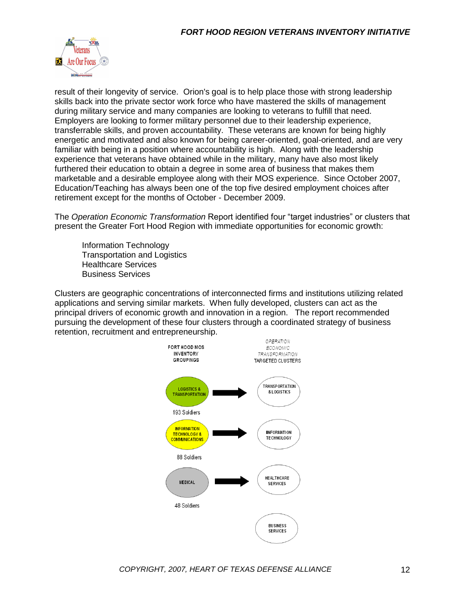

result of their longevity of service. Orion's goal is to help place those with strong leadership skills back into the private sector work force who have mastered the skills of management during military service and many companies are looking to veterans to fulfill that need. Employers are looking to former military personnel due to their leadership experience, transferrable skills, and proven accountability. These veterans are known for being highly energetic and motivated and also known for being career-oriented, goal-oriented, and are very familiar with being in a position where accountability is high. Along with the leadership experience that veterans have obtained while in the military, many have also most likely furthered their education to obtain a degree in some area of business that makes them marketable and a desirable employee along with their MOS experience. Since October 2007, Education/Teaching has always been one of the top five desired employment choices after retirement except for the months of October - December 2009.

The *Operation Economic Transformation* Report identified four "target industries" or clusters that present the Greater Fort Hood Region with immediate opportunities for economic growth:

Information Technology Transportation and Logistics Healthcare Services Business Services

Clusters are geographic concentrations of interconnected firms and institutions utilizing related applications and serving similar markets. When fully developed, clusters can act as the principal drivers of economic growth and innovation in a region. The report recommended pursuing the development of these four clusters through a coordinated strategy of business retention, recruitment and entrepreneurship.

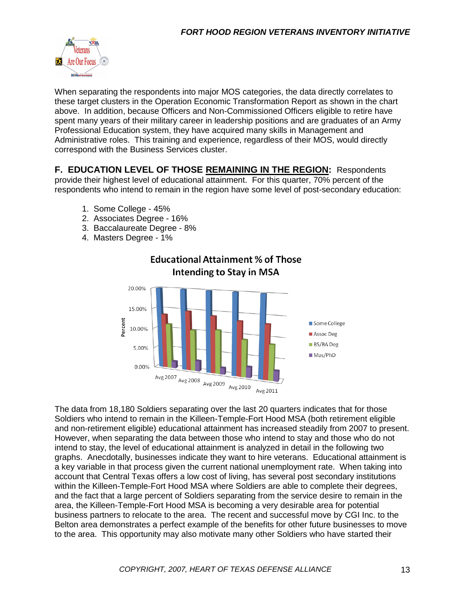

When separating the respondents into major MOS categories, the data directly correlates to these target clusters in the Operation Economic Transformation Report as shown in the chart above. In addition, because Officers and Non-Commissioned Officers eligible to retire have spent many years of their military career in leadership positions and are graduates of an Army Professional Education system, they have acquired many skills in Management and Administrative roles. This training and experience, regardless of their MOS, would directly correspond with the Business Services cluster.

**F. EDUCATION LEVEL OF THOSE REMAINING IN THE REGION:** Respondents provide their highest level of educational attainment. For this quarter, 70% percent of the respondents who intend to remain in the region have some level of post-secondary education:

- 1. Some College 45%
- 2. Associates Degree 16%
- 3. Baccalaureate Degree 8%
- 4. Masters Degree 1%



The data from 18,180 Soldiers separating over the last 20 quarters indicates that for those Soldiers who intend to remain in the Killeen-Temple-Fort Hood MSA (both retirement eligible and non-retirement eligible) educational attainment has increased steadily from 2007 to present. However, when separating the data between those who intend to stay and those who do not intend to stay, the level of educational attainment is analyzed in detail in the following two graphs. Anecdotally, businesses indicate they want to hire veterans. Educational attainment is a key variable in that process given the current national unemployment rate. When taking into account that Central Texas offers a low cost of living, has several post secondary institutions within the Killeen-Temple-Fort Hood MSA where Soldiers are able to complete their degrees, and the fact that a large percent of Soldiers separating from the service desire to remain in the area, the Killeen-Temple-Fort Hood MSA is becoming a very desirable area for potential business partners to relocate to the area. The recent and successful move by CGI Inc. to the Belton area demonstrates a perfect example of the benefits for other future businesses to move to the area. This opportunity may also motivate many other Soldiers who have started their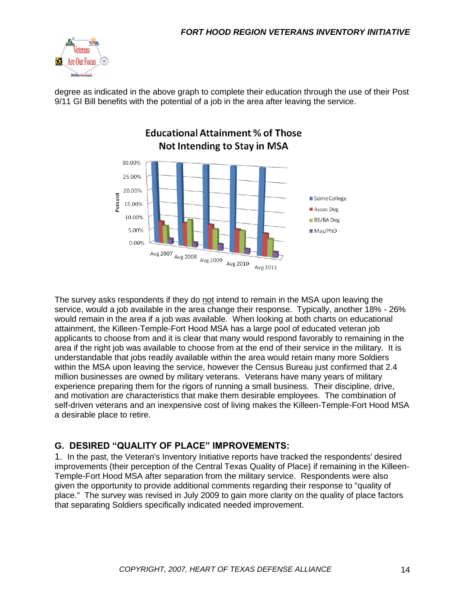

degree as indicated in the above graph to complete their education through the use of their Post 9/11 GI Bill benefits with the potential of a job in the area after leaving the service.



The survey asks respondents if they do not intend to remain in the MSA upon leaving the service, would a job available in the area change their response. Typically, another 18% - 26% would remain in the area if a job was available. When looking at both charts on educational attainment, the Killeen-Temple-Fort Hood MSA has a large pool of educated veteran job applicants to choose from and it is clear that many would respond favorably to remaining in the area if the right job was available to choose from at the end of their service in the military. It is understandable that jobs readily available within the area would retain many more Soldiers within the MSA upon leaving the service, however the Census Bureau just confirmed that 2.4 million businesses are owned by military veterans. Veterans have many years of military experience preparing them for the rigors of running a small business. Their discipline, drive, and motivation are characteristics that make them desirable employees. The combination of self-driven veterans and an inexpensive cost of living makes the Killeen-Temple-Fort Hood MSA a desirable place to retire.

#### **G. DESIRED "QUALITY OF PLACE" IMPROVEMENTS:**

1. In the past, the Veteran's Inventory Initiative reports have tracked the respondents' desired improvements (their perception of the Central Texas Quality of Place) if remaining in the Killeen-Temple-Fort Hood MSA after separation from the military service. Respondents were also given the opportunity to provide additional comments regarding their response to "quality of place." The survey was revised in July 2009 to gain more clarity on the quality of place factors that separating Soldiers specifically indicated needed improvement.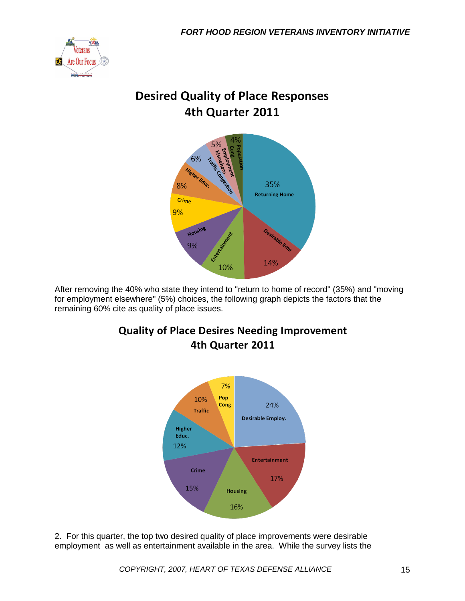

## **Desired Quality of Place Responses** 4th Quarter 2011



After removing the 40% who state they intend to "return to home of record" (35%) and "moving for employment elsewhere" (5%) choices, the following graph depicts the factors that the remaining 60% cite as quality of place issues.



**Quality of Place Desires Needing Improvement** 4th Quarter 2011

2. For this quarter, the top two desired quality of place improvements were desirable employment as well as entertainment available in the area. While the survey lists the